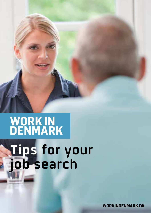# **WORK IN<br>DENMARK Tips for your job search**

**WORKINDENMARK.DK**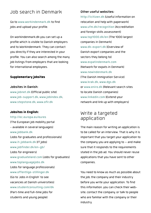# Job search in Denmark

Go to **www.workindenmark.dk** to find jobs and upload your profile.

On workindenmark.dk you can set up a profile which is visible to Danish employers and to Workindenmark. They can contact you directly if they are interested in your profile. You can also search among the many job listings from employers that are looking for international employees.

## Supplementary jobsites

#### **Jobsites in Danish:**

**www.jobnet.dk** (Official public site) **www.job-support.dk**, **www.jobindex.dk**, **www.stepstone.dk**, **www.ofir.dk**

## Jobsites in English:

**http://ec.europa.eu/eures**

(The European job mobility portal - available in several languages) **www.jobbank.dk** (Jobs for graduates and professionals) **www.it-jobbank.dk** (IT jobs) **www.jobfinder.dk/en-gb/** (Jobs for engineers) **www.graduateland.com** (Jobs for graduates) **www.toplanguagejobs.dk** (Jobs for language professionals) **www.offentlige-stillinger.dk** (Go to 'Jobs in English' to see vacancies at Danish universities) **www.studentconsulting.com/dk** (Part-time and full-time jobs for students and young people)

## **Other useful websites:**

**http://icitizen.dk** (Useful information on relocation and help with paperwork) **www.ufm.dk/recognition** (Accreditation and foreign skills assessment) **www.top1000.dk/en** (The 1000 largest companies in Denmark) **www.dk-export.dk** (Overview of Danish export companies and the sectors they belong to) **www.expatindenmark.com** (Network for expats in Denmark) **www.newindenmark.dk** (The Danish Immigration Service) **www.krak.dk**, **www.dgs.dk** or **www.eniro.dk** (Relevant search sites to locate Danish companies) **www.linkedin.com** (Extend your network and link up with employers)

## Write a targeted application

The main reason for writing an application is to be called for an interview. That is why it is important that you target your application to the company you are applying to – and make sure that it responds to the requirements stated in the job ad. You should never reuse applications that you have sent to other companies.

You need to know as much as possible about the job, the company and their industry before you write your application. To find this information, you can check their website, contact the company, or talk to people who are familiar with the company or their industry.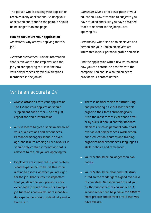The person who is reading your application receives many applications. So keep your application short and to the point. It should be no longer than one page.

#### How to structure your application

Motivation: Why are you applying for this job?

Relevant experience: Provide information that is relevant to the employer and the job you are applying for. Describe how your competences match qualifications mentioned in the job ad.

Education: Give a brief description of your education. Draw attention to subjects you have studied and skills you have obtained that are relevant to the job you are applying for.

Personality: What kind of an employee and person are you? Danish employers are interested in your personal profile and skills.

End the application with a few words about how you can contribute positively to the company. You should also remember to provide your contact details.

## Write an accurate CV

- **Always attach a CV to your application.** The CV and your application should supplement each other – do not just repeat the same information.
- A CV is meant to give a short overview of your qualifications and experiences. Personnel managers spend, on average, one minute reading a CV. So your CV should only contain information that is relevant to the job you are applying for.
- **Employers are interested in your profes**sional experience. They use this information to assess whether you are right for the job. That is why it is important that you describe your previous work experience in some detail - for example, job functions and areals) of responsibility, experience working individually and in teams, etc.
- There is no final recipe for structuring and presenting a CV, but most people organise their facts chronologically (with the most recent experience first) or by skills. It should contain standard elements, such as personal data, short overview of competences, work experience, education, courses and training, organisational experiences, languages, IT skills, hobbies and references.
- Your CV should be no longer than two pages.
- Your CV should be clear and well structured so the reader gets a good overview of your skills. Get someone to read your CV thoroughly before you submit it. A second reader can help make the content more precise and correct errors that you have missed.